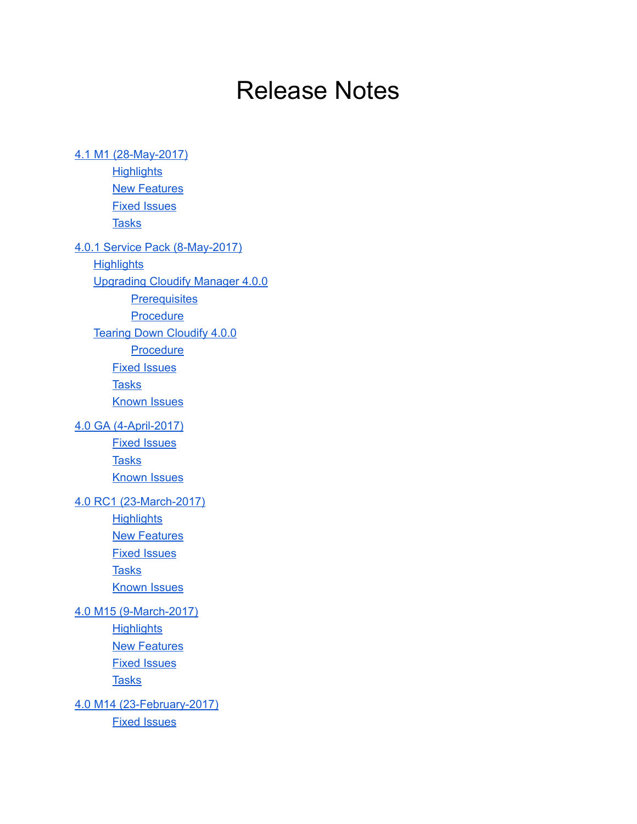# Release Notes

4.1 M1 (28-May-2017) **[Highlights](#page-2-1) New [Features](#page-2-2)** Fixed [Issues](#page-2-3) **[Tasks](#page-2-4)** 4.0.1 Service Pack (8-May-2017) **[Highlights](#page-3-1)** [Upgrading](#page-3-2) Cloudify Manager 4.0.0 **[Prerequisites](#page-3-3)** [Procedure](#page-4-0) Tearing Down [Cloudify](#page-5-0) 4.0.0 **[Procedure](#page-5-1)** Fixed [Issues](#page-5-2) [Tasks](#page-6-0) [Known](#page-6-1) Issues 4.0 GA (4-April-2017) Fixed [Issues](#page-7-1) **[Tasks](#page-7-2)** [Known](#page-8-0) Issues 4.0 RC1 (23-March-2017) **[Highlights](#page-8-2) New [Features](#page-8-3)** Fixed [Issues](#page-8-4) **[Tasks](#page-9-0)** [Known](#page-9-1) Issues 4.0 M15 (9-March-2017) **[Highlights](#page-10-1) New [Features](#page-10-2)** Fixed [Issues](#page-10-3) [Tasks](#page-10-4) 4.0 M14 (23-February-2017) Fixed [Issues](#page-11-1)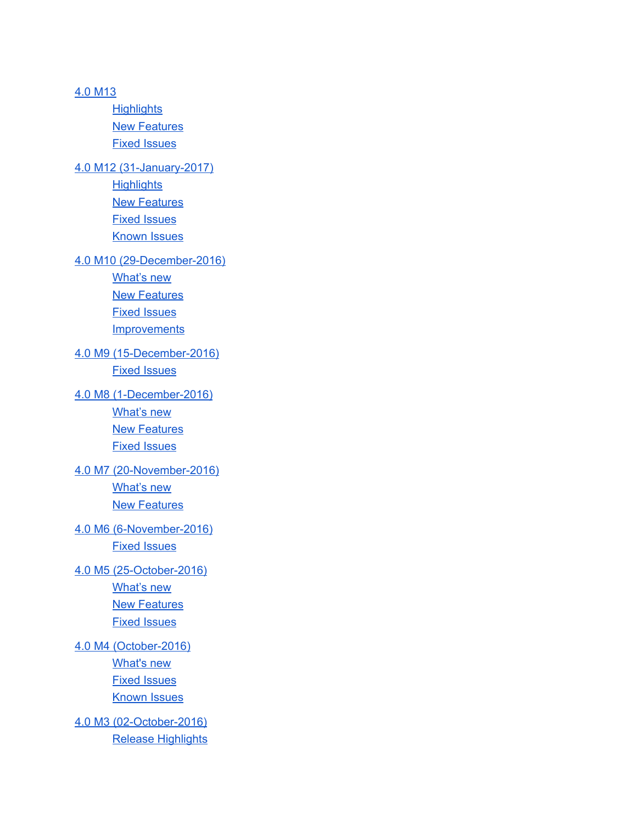4.0 [M13](#page-12-0) **[Highlights](#page-12-1)** New [Features](#page-12-2) Fixed [Issues](#page-12-3) 4.0 M12 (31-January-2017) **[Highlights](#page-13-1)** New [Features](#page-13-2) Fixed [Issues](#page-13-3) [Known](#page-14-0) Issues 4.0 M10 (29-December-2016) [What's](#page-14-2) new **New [Features](#page-14-3)** Fixed [Issues](#page-14-4) **[Improvements](#page-14-5)** 4.0 M9 (15-December-2016) Fixed [Issues](#page-15-1) 4.0 M8 (1-December-2016) [What's](#page-15-3) new **New [Features](#page-15-4)** Fixed [Issues](#page-15-5) 4.0 M7 (20-November-2016) [What's](#page-16-1) new New [Features](#page-16-2) 4.0 M6 (6-November-2016) Fixed [Issues](#page-16-4) 4.0 M5 (25-October-2016) [What's](#page-16-6) new **New [Features](#page-16-7)** Fixed [Issues](#page-17-0) 4.0 M4 (October-2016) [What's](#page-17-2) new Fixed [Issues](#page-17-3) [Known](#page-17-4) Issues 4.0 M3 (02-October-2016) Release [Highlights](#page-17-6)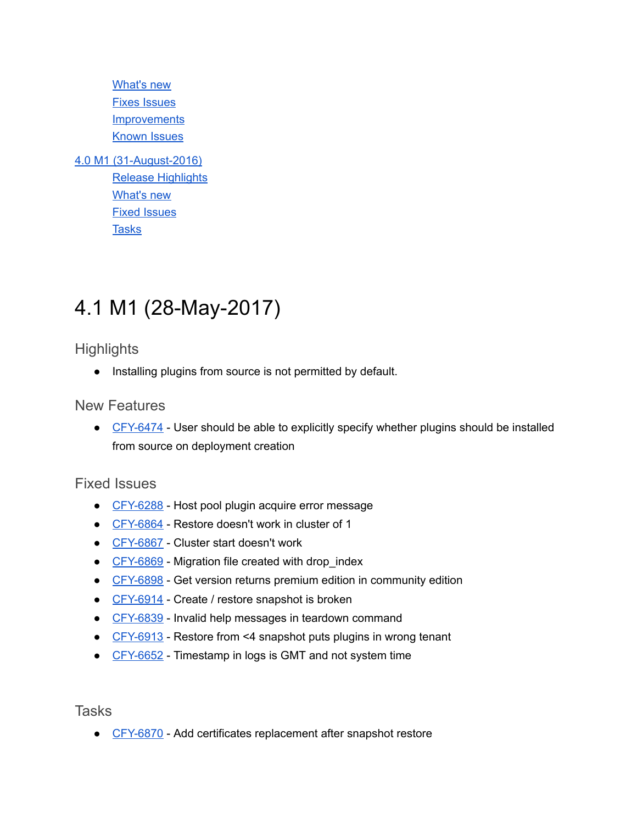[What's](#page-17-7) new Fixes [Issues](#page-18-0) **[Improvements](#page-18-1)** [Known](#page-18-2) Issues

4.0 M1 (31-August-2016) Release [Highlights](#page-18-4) [What's](#page-20-0) new Fixed [Issues](#page-20-1) **[Tasks](#page-21-0)** 

## <span id="page-2-0"></span>4.1 M1 (28-May-2017)

<span id="page-2-1"></span>**Highlights** 

● Installing plugins from source is not permitted by default.

<span id="page-2-2"></span>New Features

• CFY-6474 - User should be able to [explicitly](https://cloudifysource.atlassian.net/browse/CFY-6474) specify whether plugins should be installed from source on [deployment](https://cloudifysource.atlassian.net/browse/CFY-6474) creation

### <span id="page-2-3"></span>Fixed Issues

- CFY-6288 Host pool plugin acquire error [message](https://cloudifysource.atlassian.net/browse/CFY-6288)
- CFY-6864 [Restore](https://cloudifysource.atlassian.net/browse/CFY-6864) doesn't work in cluster of 1
- CFY-6867 Cluster start [doesn't](https://cloudifysource.atlassian.net/browse/CFY-6867) work
- CFY-6869 Migration file created with drop index
- CFY-6898 Get version returns premium edition in [community](https://cloudifysource.atlassian.net/browse/CFY-6898) edition
- CFY-6914 Create / restore [snapshot](https://cloudifysource.atlassian.net/browse/CFY-6914) is broken
- CFY-6839 Invalid help messages in teardown command
- CFY-6913 Restore from <4 snapshot puts plugins in wrong tenant
- CFY-6652 Timestamp in logs is GMT and not system time

<span id="page-2-4"></span>**Tasks** 

● CFY-6870 - Add certificates replacement after snapshot restore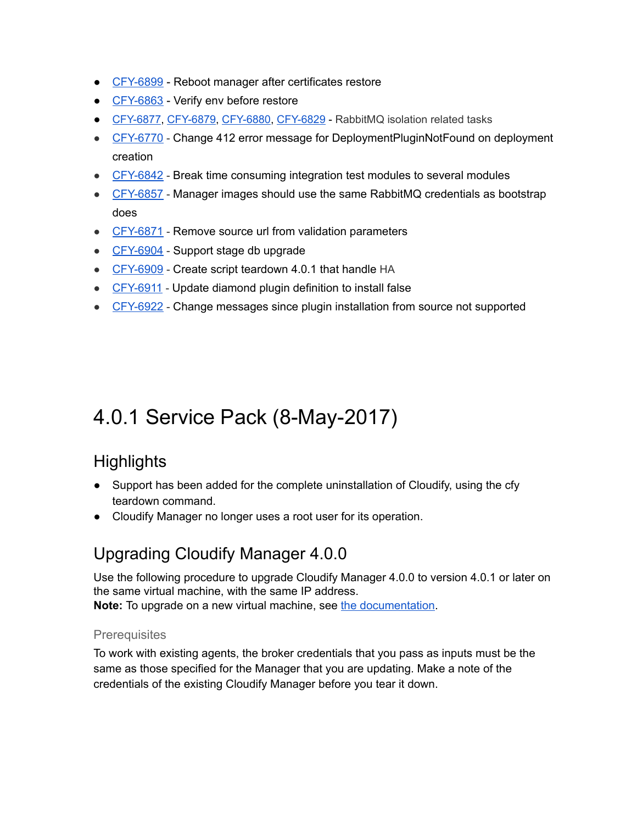- CFY-6899 Reboot manager after certificates restore
- CFY-6863 Verify env before restore
- CFY-6877, CFY-6879, CFY-6880, CFY-6829 RabbitMQ isolation related tasks
- CFY-6770 Change 412 error message for [DeploymentPluginNotFound](https://cloudifysource.atlassian.net/browse/CFY-6770) on deployment [creation](https://cloudifysource.atlassian.net/browse/CFY-6770)
- CFY-6842 Break time [consuming](https://cloudifysource.atlassian.net/browse/CFY-6842) integration test modules to several modules
- CFY-6857 Manager images should use the same RabbitMQ [credentials](https://cloudifysource.atlassian.net/browse/CFY-6857) as bootstrap [does](https://cloudifysource.atlassian.net/browse/CFY-6857)
- CFY-6871 Remove source url from validation [parameters](https://cloudifysource.atlassian.net/browse/CFY-6871)
- CFY-6904 Support stage db [upgrade](https://cloudifysource.atlassian.net/browse/CFY-6904)
- CFY-6909 Create script [teardown](https://cloudifysource.atlassian.net/browse/CFY-6909) 4.0.1 that handle HA
- CFY-6911 Update diamond plugin [definition](https://cloudifysource.atlassian.net/browse/CFY-6911) to install false
- CFY-6922 Change messages since plugin [installation](https://cloudifysource.atlassian.net/browse/CFY-6922) from source not supported

## <span id="page-3-0"></span>4.0.1 Service Pack (8-May-2017)

## <span id="page-3-1"></span>**Highlights**

- Support has been added for the complete uninstallation of Cloudify, using the cfy teardown command.
- <span id="page-3-2"></span>● Cloudify Manager no longer uses a root user for its operation.

## Upgrading Cloudify Manager 4.0.0

Use the following procedure to upgrade Cloudify Manager 4.0.0 to version 4.0.1 or later on the same virtual machine, with the same IP address.

<span id="page-3-3"></span>Note: To upgrade on a new virtual machine, see the [documentation](http://docs.getcloudify.org/4.0.0/installation/bootstrapping/#option-1-installing-a-cloudify-manager).

#### **Prerequisites**

To work with existing agents, the broker credentials that you pass as inputs must be the same as those specified for the Manager that you are updating. Make a note of the credentials of the existing Cloudify Manager before you tear it down.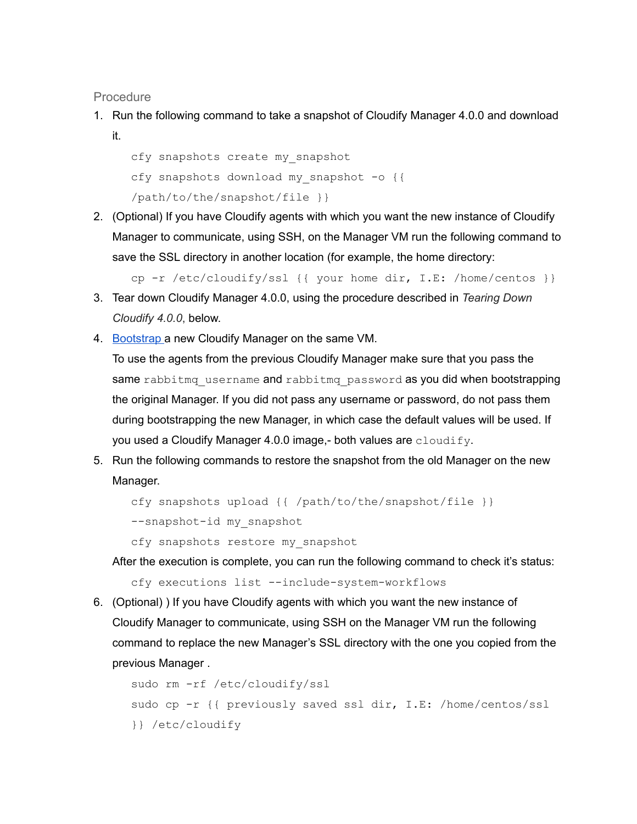<span id="page-4-0"></span>**Procedure** 

1. Run the following command to take a snapshot of Cloudify Manager 4.0.0 and download it.

```
cfy snapshots create my_snapshot
cfy snapshots download my snapshot -o {{
/path/to/the/snapshot/file }}
```
2. (Optional) If you have Cloudify agents with which you want the new instance of Cloudify Manager to communicate, using SSH, on the Manager VM run the following command to save the SSL directory in another location (for example, the home directory:

```
cp -r /etc/cloudify/ssl {{ your home dir, I.E: /home/centos }}
```
- 3. Tear down Cloudify Manager 4.0.0, using the procedure described in Tearing Down Cloudify 4.0.0, below.
- 4. [Bootstrap](http://docs.getcloudify.org/4.0.0/installation/#option-2-bootstrapping-a-cloudify-manager) a new Cloudify Manager on the same VM.

To use the agents from the previous Cloudify Manager make sure that you pass the same rabbitmq username and rabbitmq password as you did when bootstrapping the original Manager. If you did not pass any username or password, do not pass them during bootstrapping the new Manager, in which case the default values will be used. If you used a Cloudify Manager 4.0.0 image,- both values are cloudify.

5. Run the following commands to restore the snapshot from the old Manager on the new Manager.

```
cfy snapshots upload {{ /path/to/the/snapshot/file }}
--snapshot-id my snapshot
```
cfy snapshots restore my\_snapshot

After the execution is complete, you can run the following command to check it's status:

cfy executions list --include-system-workflows

6. (Optional) ) If you have Cloudify agents with which you want the new instance of Cloudify Manager to communicate, using SSH on the Manager VM run the following command to replace the new Manager's SSL directory with the one you copied from the previous Manager .

```
sudo rm -rf /etc/cloudify/ssl
sudo cp -r {{ previously saved ssl dir, I.E: /home/centos/ssl
}} /etc/cloudify
```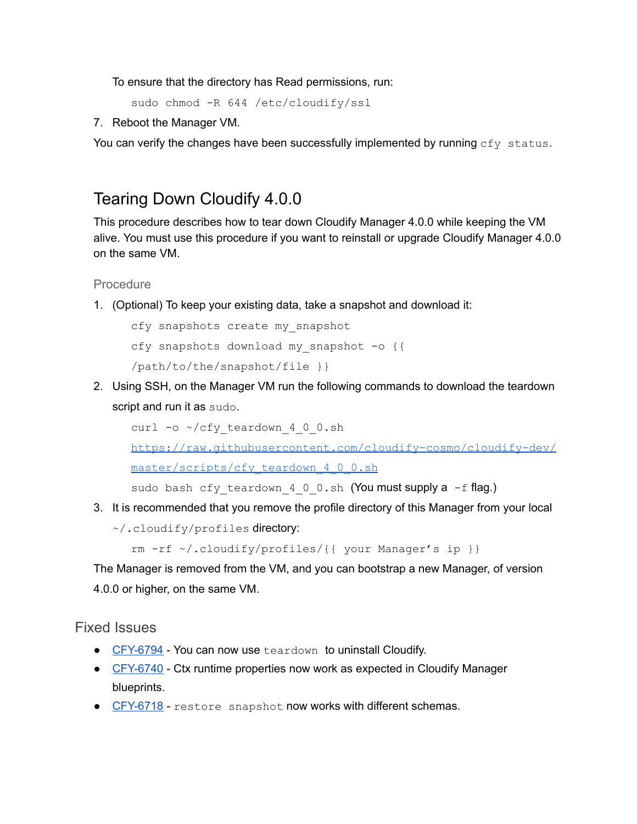To ensure that the directory has Read permissions, run:

```
sudo chmod -R 644 /etc/cloudify/ssl
```
7. Reboot the Manager VM.

You can verify the changes have been successfully implemented by running cfy status.

## <span id="page-5-0"></span>Tearing Down Cloudify 4.0.0

This procedure describes how to tear down Cloudify Manager 4.0.0 while keeping the VM alive. You must use this procedure if you want to reinstall or upgrade Cloudify Manager 4.0.0 on the same VM.

#### <span id="page-5-1"></span>Procedure

1. (Optional) To keep your existing data, take a snapshot and download it:

```
cfy snapshots create my_snapshot
cfy snapshots download my snapshot -o {{
/path/to/the/snapshot/file }}
```
2. Using SSH, on the Manager VM run the following commands to download the teardown script and run it as sudo.

```
curl -o ~/cfy teardown 4 0 0.sh
```
https://raw.githubusercontent.com/cloudify-cosmo/cloudify-dev/

[master/scripts/cfy\\_teardown\\_4\\_0\\_0.sh](https://raw.githubusercontent.com/cloudify-cosmo/cloudify-dev/master/scripts/cfy_teardown_4_0_0.sh)

sudo bash cfy teardown 4 0 0.sh (You must supply a  $-f$  flag.)

3. It is recommended that you remove the profile directory of this Manager from your local

```
~/.cloudify/profiles directory:
```

```
rm -rf \sim / .cloudify/profiles/{{ your Manager's ip }}
```
The Manager is removed from the VM, and you can bootstrap a new Manager, of version 4.0.0 or higher, on the same VM.

### <span id="page-5-2"></span>Fixed Issues

- CFY-6794 You can now use teardown to uninstall Cloudify.
- CFY-6740 Ctx runtime properties now work as expected in Cloudify Manager blueprints.
- CFY-6718 restore snapshot now works with different schemas.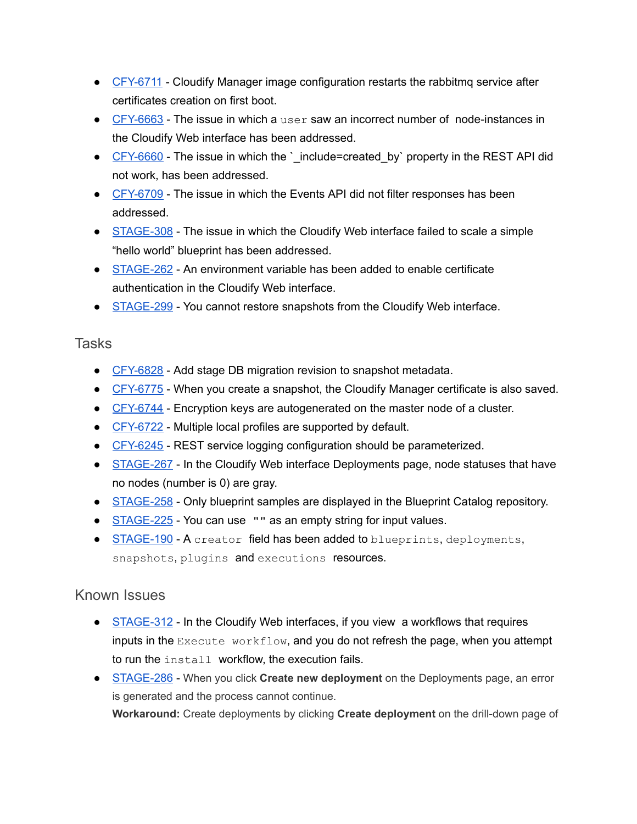- CFY-6711 Cloudify Manager image configuration restarts the rabbitmq service after certificates creation on first boot.
- CFY-6663 The issue in which a user saw an incorrect number of node-instances in the Cloudify Web interface has been addressed.
- CFY-6660 The issue in which the ` include=created by` property in the REST API did not work, has been addressed.
- CFY-6709 The issue in which the Events API did not filter responses has been addressed.
- STAGE-308 The issue in which the Cloudify Web interface failed to scale a simple "hello world" blueprint has been addressed.
- STAGE-262 An environment variable has been added to enable certificate authentication in the Cloudify Web interface.
- STAGE-299 You cannot restore snapshots from the Cloudify Web interface.

## <span id="page-6-0"></span>**Tasks**

- CFY-6828 Add stage DB migration revision to snapshot metadata.
- CFY-6775 When you create a snapshot, the Cloudify Manager certificate is also saved.
- CFY-6744 Encryption keys are autogenerated on the master node of a cluster.
- CFY-6722 Multiple local profiles are supported by default.
- CFY-6245 REST service logging configuration should be parameterized.
- STAGE-267 In the Cloudify Web interface Deployments page, node statuses that have no nodes (number is 0) are gray.
- STAGE-258 Only blueprint samples are displayed in the Blueprint Catalog repository.
- STAGE-225 You can use "" as an empty string for input values.
- STAGE-190 A creator field has been added to blueprints, deployments, snapshots, plugins and executions resources.

## <span id="page-6-1"></span>Known Issues

- STAGE-312 In the Cloudify Web interfaces, if you view a workflows that requires inputs in the Execute workflow, and you do not refresh the page, when you attempt to run the install workflow, the execution fails.
- STAGE-286 When you click Create new deployment on the Deployments page, an error is generated and the process cannot continue. Workaround: Create deployments by clicking Create deployment on the drill-down page of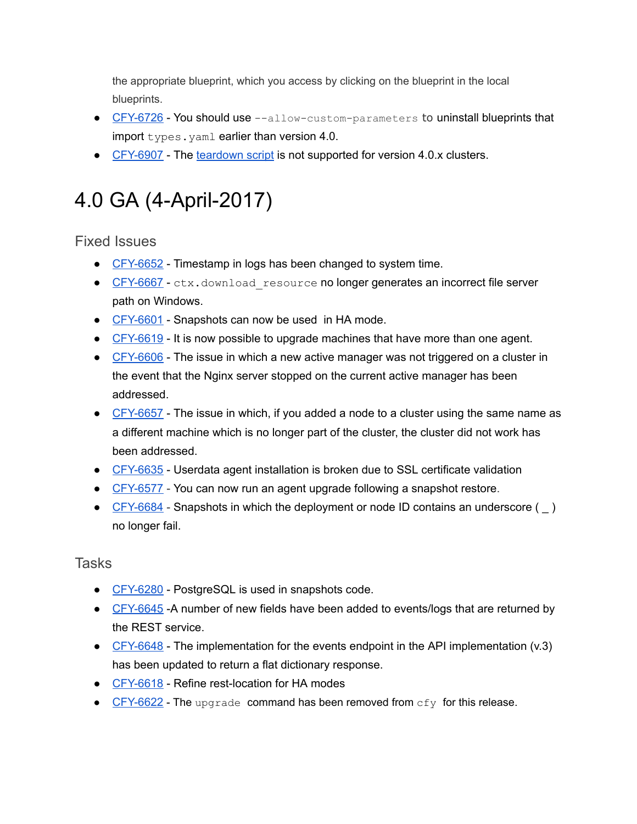the appropriate blueprint, which you access by clicking on the blueprint in the local blueprints.

- $\bullet$  CFY-6726 You should use  $-$ -allow-custom-parameters to uninstall blueprints that import types.yaml earlier than version 4.0.
- CFY-6907 The [teardown](#page-5-0) script is not supported for version 4.0.x clusters.

# <span id="page-7-0"></span>4.0 GA (4-April-2017)

<span id="page-7-1"></span>Fixed Issues

- CFY-6652 Timestamp in logs has been changed to system time.
- CFY-6667 ctx.download resource no longer generates an incorrect file server path on Windows.
- CFY-6601 Snapshots can now be used in HA mode.
- CFY-6619 It is now possible to upgrade machines that have more than one agent.
- $\bullet$  CFY-6606 The issue in which a new active manager was not triggered on a cluster in the event that the Nginx server stopped on the current active manager has been addressed.
- CFY-6657 The issue in which, if you added a node to a cluster using the same name as a different machine which is no longer part of the cluster, the cluster did not work has been addressed.
- CFY-6635 Userdata agent installation is broken due to SSL certificate validation
- CFY-6577 You can now run an agent upgrade following a snapshot restore.
- <span id="page-7-2"></span>• CFY-6684 - Snapshots in which the deployment or node ID contains an underscore () no longer fail.

- CFY-6280 PostgreSQL is used in snapshots code.
- CFY-6645 -A number of new fields have been added to events/logs that are returned by the REST service.
- CFY-6648 The implementation for the events endpoint in the API implementation (v.3) has been updated to return a flat dictionary response.
- CFY-6618 Refine rest-location for HA modes
- $\bullet$  CFY-6622 The upgrade command has been removed from  $cfy$  for this release.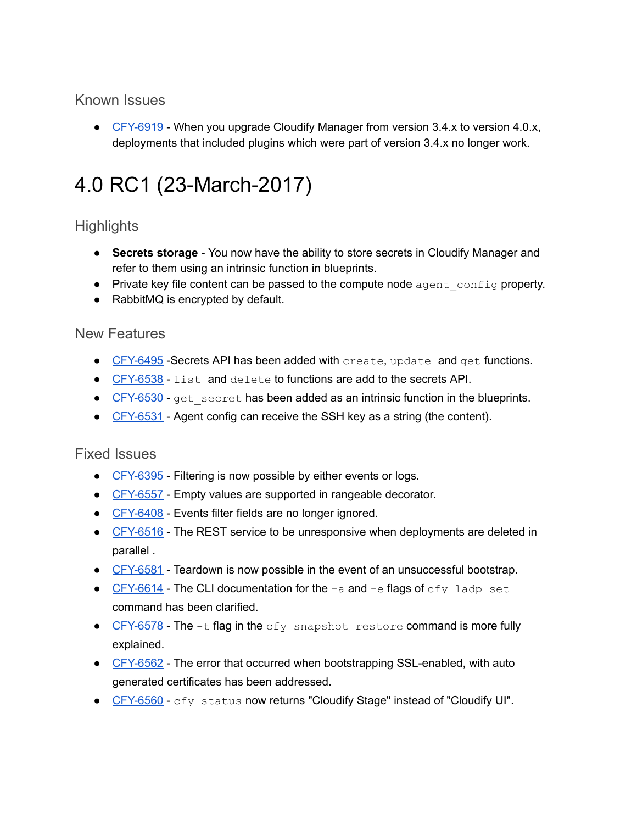## <span id="page-8-0"></span>Known Issues

● CFY-6919 - When you upgrade Cloudify Manager from version 3.4.x to version 4.0.x, deployments that included plugins which were part of version 3.4.x no longer work.

# <span id="page-8-1"></span>4.0 RC1 (23-March-2017)

## <span id="page-8-2"></span>**Highlights**

- Secrets storage You now have the ability to store secrets in Cloudify Manager and refer to them using an intrinsic function in blueprints.
- Private key file content can be passed to the compute node agent config property.
- RabbitMQ is encrypted by default.

## <span id="page-8-3"></span>New Features

- CFY-6495 Secrets API has been added with create, update and get functions.
- CFY-6538 list and delete to functions are add to the secrets API.
- CFY-6530 get secret has been added as an intrinsic function in the blueprints.
- CFY-6531 Agent config can receive the SSH key as a string (the content).

### <span id="page-8-4"></span>Fixed Issues

- CFY-6395 Filtering is now possible by either events or logs.
- CFY-6557 Empty values are supported in rangeable decorator.
- CFY-6408 Events filter fields are no longer ignored.
- CFY-6516 The REST service to be [unresponsive](https://cloudifysource.atlassian.net/browse/CFY-6516) when [deployments](https://cloudifysource.atlassian.net/browse/CFY-6516) are deleted in [parallel](https://cloudifysource.atlassian.net/browse/CFY-6516) .
- CFY-6581 Teardown is now possible in the event of an unsuccessful bootstrap.
- $CFY-6614$  The CLI documentation for the  $-a$  and  $-e$  flags of  $cfy$  ladp set command has been clarified.
- $\bullet$  CFY-6578 The  $-t$  flag in the cfy snapshot restore command is more fully explained.
- CFY-6562 The error that occurred when bootstrapping SSL-enabled, with auto generated certificates has been addressed.
- CFY-6560 cfy status now returns "Cloudify Stage" instead of "Cloudify UI".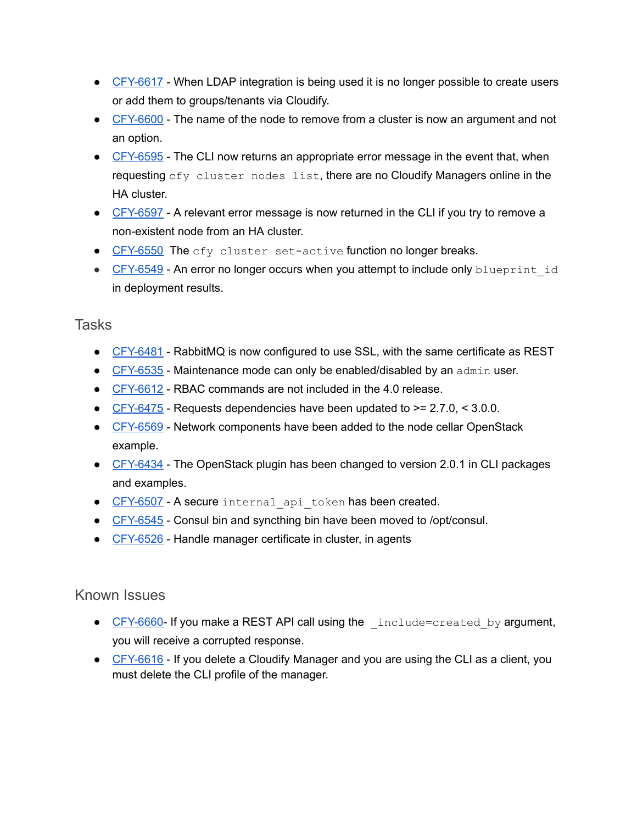- CFY-6617 When LDAP integration is being used it is no longer possible to create users or add them to groups/tenants via Cloudify.
- CFY-6600 The name of the node to remove from a cluster is now an argument and not an option.
- CFY-6595 The CLI now returns an appropriate error message in the event that, when requesting cfy cluster nodes list, there are no Cloudify Managers online in the HA cluster.
- CFY-6597 A relevant error message is now returned in the CLI if you try to remove a non-existent node from an HA cluster.
- CFY-6550 The cfy cluster set-active function no longer breaks.
- CFY-6549 An error no longer occurs when you attempt to include only blueprint id in deployment results.

## <span id="page-9-0"></span>Tasks

- CFY-6481 RabbitMQ is now configured to use SSL, with the same certificate as REST
- $\bullet$  CFY-6535 Maintenance mode can only be enabled/disabled by an admin user.
- [CFY6612](https://cloudifysource.atlassian.net/browse/CFY-6612) RBAC commands are not included in the 4.0 release.
- $\bullet$  CFY-6475 Requests dependencies have been updated to  $\geq$  = 2.7.0, < 3.0.0.
- CFY-6569 Network [components](https://cloudifysource.atlassian.net/browse/CFY-6569) have been added to the node cellar OpenStack [example](https://cloudifysource.atlassian.net/browse/CFY-6569).
- CFY-6434 The [OpenStack](https://cloudifysource.atlassian.net/browse/CFY-6434) plugin has been changed to version 2.0.1 in CLI packages and [examples](https://cloudifysource.atlassian.net/browse/CFY-6434).
- CFY-6507 A secure internal api token has been created.
- CFY-6545 Consul bin and syncthing bin have been moved to /opt/consul.
- CFY-6526 Handle manager certificate in cluster, in agents

## <span id="page-9-1"></span>Known Issues

- CFY-6660 If you make a REST API call using the include=created by argument, you will receive a corrupted response.
- $\bullet$  CFY-6616 If you delete a Cloudify Manager and you are using the CLI as a client, you must delete the CLI profile of the manager.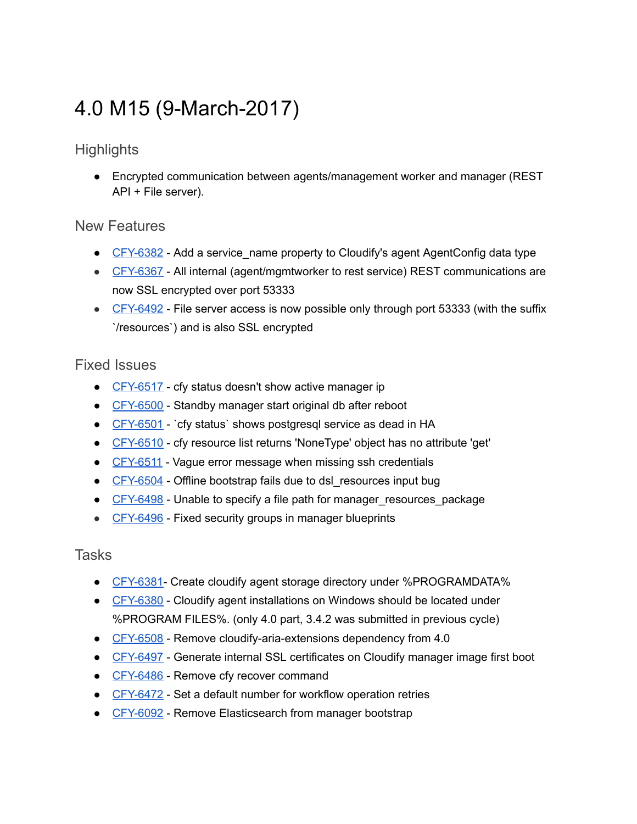# <span id="page-10-0"></span>4.0 M15 (9-March-2017)

## <span id="page-10-1"></span>**Highlights**

● Encrypted communication between agents/management worker and manager (REST API + File server).

### <span id="page-10-2"></span>New Features

- $\bullet$  CFY-6382 Add a service name property to Cloudify's agent AgentConfig data type
- CFY-6367 All internal (agent/mgmtworker to rest service) REST communications are now SSL encrypted over port 53333
- CFY-6492 File server access is now possible only through port 53333 (with the suffix `/resources`) and is also SSL encrypted

## <span id="page-10-3"></span>Fixed Issues

- CFY-6517 cfy status doesn't show active manager ip
- CFY-6500 Standby manager start original db after reboot
- CFY-6501 `cfy status` shows postgresql service as dead in HA
- CFY-6510 cfy resource list returns 'NoneType' object has no attribute 'get'
- CFY-6511 Vague error message when missing ssh credentials
- CFY-6504 Offline bootstrap fails due to [dsl\\_resources](https://cloudifysource.atlassian.net/browse/CFY-6504) input bug
- CFY-6498 Unable to specify a file path for manager resources package
- <span id="page-10-4"></span>• CFY-6496 - Fixed security groups in manager blueprints

- CFY-6381- Create cloudify agent storage directory under %PROGRAMDATA%
- CFY-6380 Cloudify agent [installations](https://cloudifysource.atlassian.net/browse/CFY-6380) on Windows should be located under [%PROGRAM](https://cloudifysource.atlassian.net/browse/CFY-6380) FILES%. (only 4.0 part, 3.4.2 was submitted in previous cycle)
- CFY-6508 Remove cloudify-aria-extensions dependency from 4.0
- CFY-6497 Generate internal SSL [certificates](https://cloudifysource.atlassian.net/browse/CFY-6497) on Cloudify manager image first boot
- CFY-6486 Remove cfy recover [command](https://cloudifysource.atlassian.net/browse/CFY-6486)
- CFY-6472 Set a default number for workflow [operation](https://cloudifysource.atlassian.net/browse/CFY-6472) retries
- CFY-6092 Remove [Elasticsearch](https://cloudifysource.atlassian.net/browse/CFY-6092) from manager bootstrap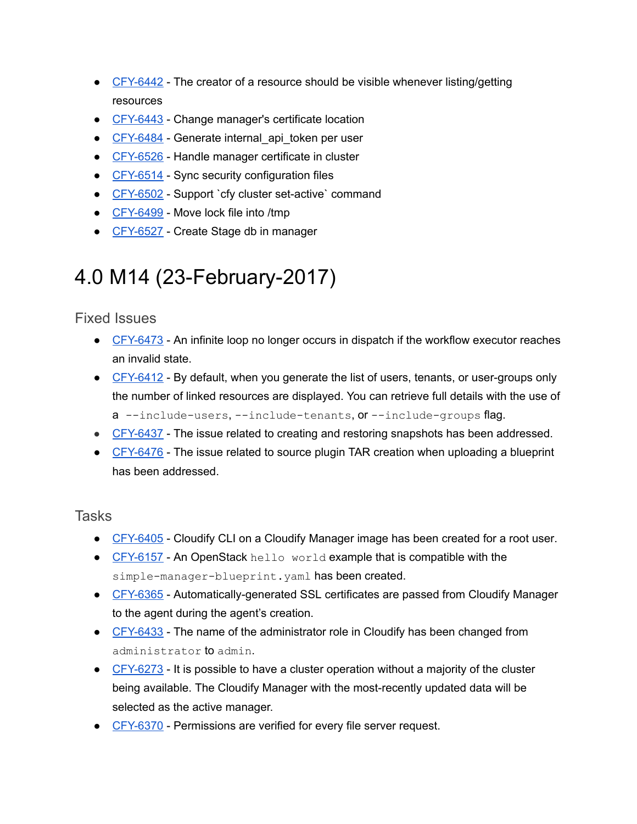- CFY-6442 The creator of a resource should be visible whenever listing/getting resources
- CFY-6443 Change manager's certificate location
- CFY-6484 Generate internal api token per user
- CFY-6526 Handle manager certificate in cluster
- CFY-6514 Sync security configuration files
- CFY-6502 Support `cfy cluster set-active` command
- CFY-6499 Move lock file into /tmp
- CFY-6527 Create Stage db in manager

## <span id="page-11-0"></span>4.0 M14 (23-February-2017)

<span id="page-11-1"></span>Fixed Issues

- CFY-6473 An infinite loop no longer occurs in dispatch if the [workflow](https://cloudifysource.atlassian.net/browse/CFY-6473) executor reaches an [invalid](https://cloudifysource.atlassian.net/browse/CFY-6473) state.
- CFY-6412 By default, when you generate the list of users, tenants, or user-groups only the number of linked resources are displayed. You can retrieve full details with the use of  $a$  --include-users, --include-tenants,  $or$  --include-groups flag.
- CFY-6437 The issue related to creating and restoring snapshots has been addressed.
- CFY-6476 The issue related to source plugin TAR creation when uploading a blueprint has been addressed.

- CFY-6405 Cloudify CLI on a Cloudify [Manager](https://cloudifysource.atlassian.net/browse/CFY-6405) image has been created for a root user.
- CFY-6157 An [OpenStack](https://cloudifysource.atlassian.net/browse/CFY-6157) hello [world](https://cloudifysource.atlassian.net/browse/CFY-6157) example that is [compatible](https://cloudifysource.atlassian.net/browse/CFY-6157) with the simple-manager-blueprint.yaml has been created.
- CFY-6365 Automatically-generated SSL certificates are passed from Cloudify Manager to the agent during the agent's creation.
- CFY-6433 The name of the administrator role in Cloudify has been changed from administrator to admin.
- CFY-6273 It is possible to have a cluster operation without a majority of the cluster being available. The Cloudify Manager with the most-recently updated data will be selected as the active manager.
- CFY-6370 Permissions are verified for every file server request.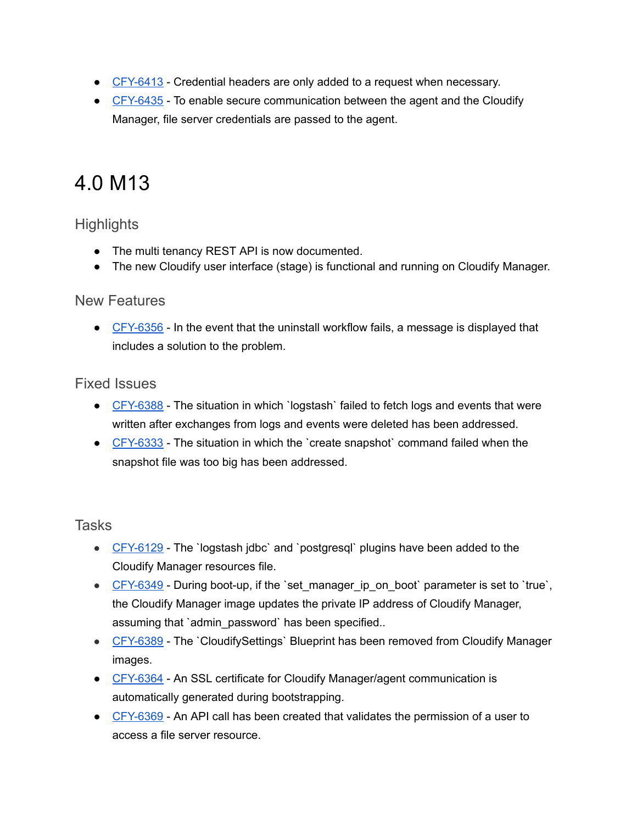- CFY-6413 Credential headers are only added to a request when necessary.
- CFY-6435 To enable secure communication between the agent and the Cloudify Manager, file server credentials are passed to the agent.

## <span id="page-12-0"></span>4.0 M13

## <span id="page-12-1"></span>**Highlights**

- The multi tenancy REST API is now documented.
- The new Cloudify user interface (stage) is functional and running on Cloudify Manager.

### <span id="page-12-2"></span>New Features

 $\bullet$  CFY-6356 - In the event that the uninstall workflow fails, a message is displayed that includes a solution to the problem.

## <span id="page-12-3"></span>Fixed Issues

- CFY-6388 The situation in which `logstash` failed to fetch logs and events that were written after exchanges from logs and events were deleted has been addressed.
- CFY-6333 The situation in which the `create snapshot` command failed when the snapshot file was too big has been addressed.

- CFY-6129 The `logstash jdbc` and `postgresql` plugins have been added to the Cloudify Manager resources file.
- CFY-6349 During boot-up, if the 'set manager ip on boot' parameter is set to 'true', the Cloudify Manager image updates the private IP address of Cloudify Manager, assuming that `admin password` has been specified..
- CFY-6389 The `CloudifySettings` Blueprint has been removed from Cloudify Manager images.
- CFY-6364 An SSL certificate for Cloudify Manager/agent communication is automatically generated during bootstrapping.
- CFY-6369 An API call has been created that validates the permission of a user to access a file server resource.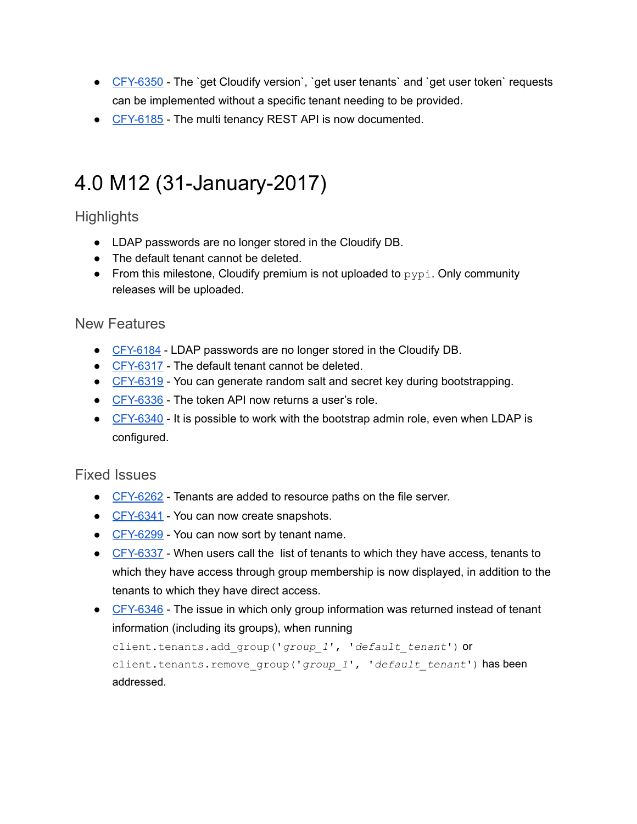- CFY-6350 The `get Cloudify version`, `get user tenants` and `get user token` requests can be implemented without a specific tenant needing to be provided.
- CFY-6185 The multi tenancy REST API is now documented.

# <span id="page-13-0"></span>4.0 M12 (31-January-2017)

## <span id="page-13-1"></span>**Highlights**

- LDAP passwords are no longer stored in the Cloudify DB.
- The default tenant cannot be deleted.
- From this milestone, Cloudify premium is not uploaded to  $pypi$ . Only community releases will be uploaded.

### <span id="page-13-2"></span>New Features

- CFY-6184 LDAP passwords are no longer stored in the Cloudify DB.
- CFY-6317 The default tenant cannot be deleted.
- CFY-6319 You can generate random salt and secret key during bootstrapping.
- CFY-6336 The token API now returns a user's role.
- CFY-6340 It is possible to work with the bootstrap admin role, even when LDAP is configured.

### <span id="page-13-3"></span>Fixed Issues

- CFY-6262 Tenants are added to resource paths on the file server.
- CFY-6341 You can now create snapshots.
- CFY-6299 You can now sort by tenant name.
- CFY-6337 When users call the list of tenants to which they have access, tenants to which they have access through group membership is now displayed, in addition to the tenants to which they have direct access.
- CFY-6346 The issue in which only group information was returned instead of tenant information (including its groups), when running

```
client.tenants.add_group('group_1', 'default_tenant') or
client.tenants.remove_group('group_1', 'default_tenant') has been
addressed.
```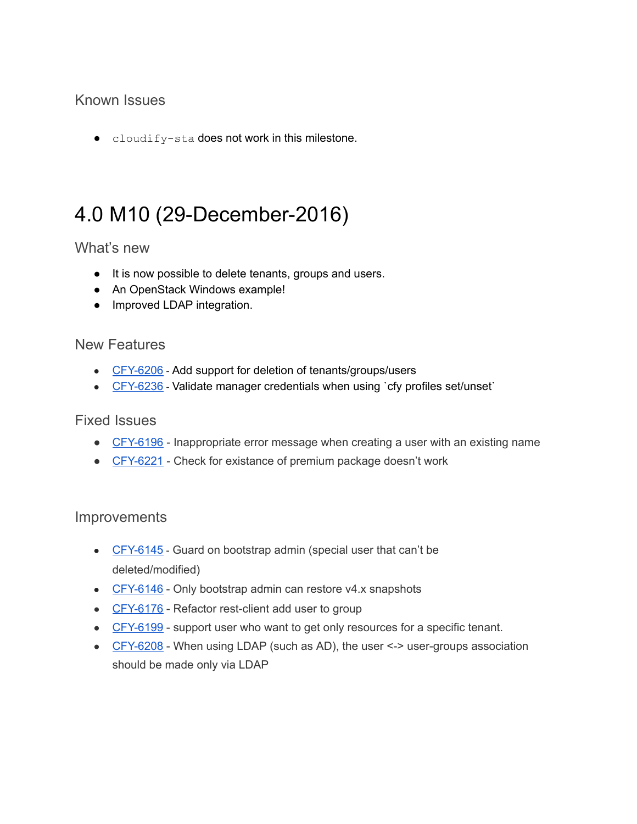## <span id="page-14-0"></span>Known Issues

• cloudify-sta does not work in this milestone.

## <span id="page-14-1"></span>4.0 M10 (29-December-2016)

## <span id="page-14-2"></span>What's new

- It is now possible to delete tenants, groups and users.
- An OpenStack Windows example!
- Improved LDAP integration.

## <span id="page-14-3"></span>New Features

- CFY-6206 Add support for deletion of tenants/groups/users
- CFY-6236 Validate manager credentials when using `cfy profiles set/unset`

### <span id="page-14-4"></span>Fixed Issues

- CFY-6196 Inappropriate error message when creating a user with an existing name
- CFY-6221 Check for existance of premium package doesn't work

### <span id="page-14-5"></span>Improvements

- CFY-6145 Guard on bootstrap admin (special user that can't be deleted/modified)
- CFY-6146 Only bootstrap admin can restore v4.x snapshots
- CFY-6176 Refactor rest-client add user to group
- CFY-6199 support user who want to get only resources for a specific tenant.
- CFY-6208 When using LDAP (such as AD), the user <-> user-groups association should be made only via LDAP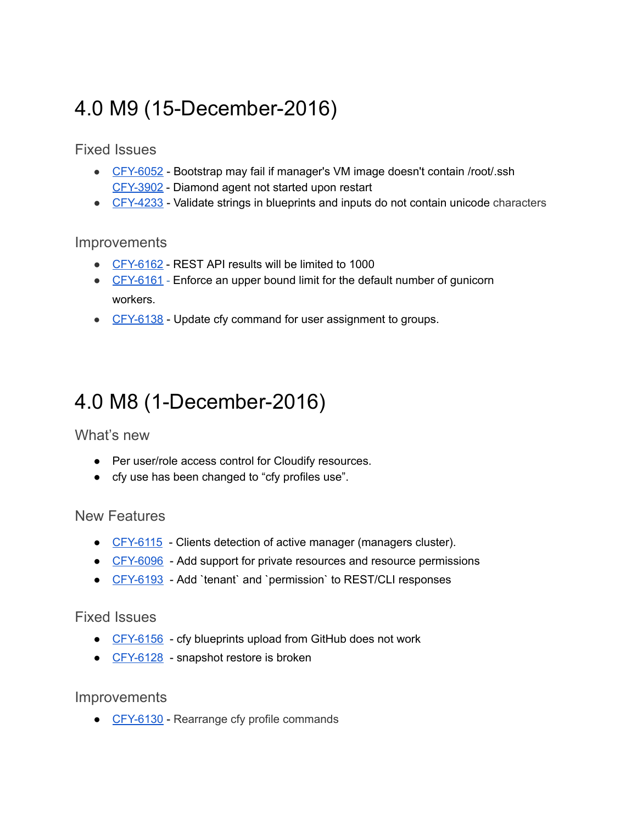# <span id="page-15-0"></span>4.0 M9 (15-December-2016)

<span id="page-15-1"></span>Fixed Issues

- CFY-6052 Bootstrap may fail if manager's VM image doesn't contain /root/.ssh CFY-3902 - Diamond agent not started upon restart
- CFY-4233 Validate strings in blueprints and inputs do not contain unicode characters

#### **Improvements**

- CFY-6162 REST API results will be limited to 1000
- CFY-6161 Enforce an upper bound limit for the default number of gunicorn workers.
- CFY-6138 Update cfy command for user assignment to groups.

## <span id="page-15-2"></span>4.0 M8 (1-December-2016)

<span id="page-15-3"></span>What's new

- Per user/role access control for Cloudify resources.
- cfy use has been changed to "cfy profiles use".

<span id="page-15-4"></span>New Features

- CFY-6115 Clients detection of active manager (managers cluster).
- CFY-6096 Add support for private resources and resource permissions
- [CFY6193](https://cloudifysource.atlassian.net/browse/CFY-6139) Add `tenant` and `permission` to REST/CLI responses

<span id="page-15-5"></span>Fixed Issues

- CFY-6156 cfy blueprints upload from GitHub does not work
- CFY-6128 snapshot restore is broken

**Improvements** 

• CFY-6130 - Rearrange cfy profile commands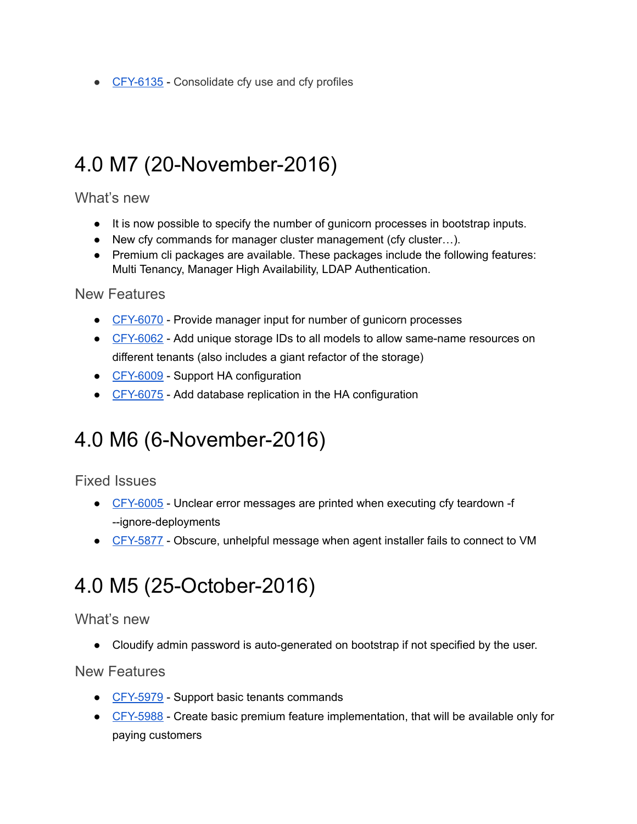● CFY-6135 - Consolidate cfy use and cfy profiles

## <span id="page-16-0"></span>4.0 M7 (20-November-2016)

<span id="page-16-1"></span>What's new

- It is now possible to specify the number of gunicorn processes in bootstrap inputs.
- New cfy commands for manager cluster management (cfy cluster…).
- Premium cli packages are available. These packages include the following features: Multi Tenancy, Manager High Availability, LDAP Authentication.

<span id="page-16-2"></span>New Features

- CFY-6070 Provide manager input for number of gunicorn processes
- CFY-6062 Add unique storage IDs to all models to allow same-name resources on different tenants (also includes a giant refactor of the storage)
- CFY-6009 Support HA configuration
- CFY-6075 Add database replication in the HA configuration

## <span id="page-16-3"></span>4.0 M6 (6-November-2016)

<span id="page-16-4"></span>Fixed Issues

- CFY-6005 Unclear error messages are printed when executing cfy teardown -f --ignore-deployments
- CFY-5877 Obscure, unhelpful message when agent installer fails to connect to VM

## <span id="page-16-5"></span>4.0 M5 (25-October-2016)

<span id="page-16-6"></span>What's new

• Cloudify admin password is auto-generated on bootstrap if not specified by the user.

<span id="page-16-7"></span>New Features

- CFY-5979 Support basic tenants commands
- CFY-5988 Create basic premium feature implementation, that will be available only for paying customers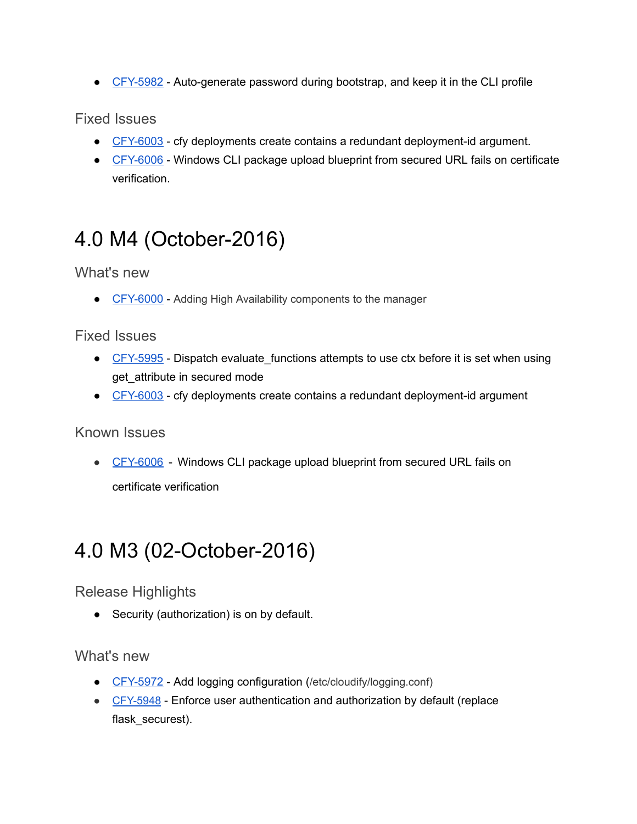• CFY-5982 - Auto-generate password during bootstrap, and keep it in the CLI profile

<span id="page-17-0"></span>Fixed Issues

- CFY-6003 cfy deployments create contains a redundant deployment-id argument.
- CFY-6006 Windows CLI package upload blueprint from secured URL fails on certificate verification.

# <span id="page-17-1"></span>4.0 M4 (October-2016)

<span id="page-17-2"></span>What's new

● CFY-6000 - Adding High Availability components to the manager

## <span id="page-17-3"></span>Fixed Issues

- CFY-5995 Dispatch evaluate functions attempts to use ctx before it is set when using get attribute in secured mode
- CFY-6003 cfy deployments create contains a redundant deployment-id argument

### <span id="page-17-4"></span>Known Issues

• CFY-6006 - Windows CLI package upload blueprint from secured URL fails on certificate verification

# <span id="page-17-5"></span>4.0 M3 (02-October-2016)

<span id="page-17-6"></span>Release Highlights

● Security (authorization) is on by default.

## <span id="page-17-7"></span>What's new

- CFY-5972 Add logging configuration (/etc/cloudify/logging.conf)
- CFY-5948 Enforce user authentication and authorization by default (replace flask securest).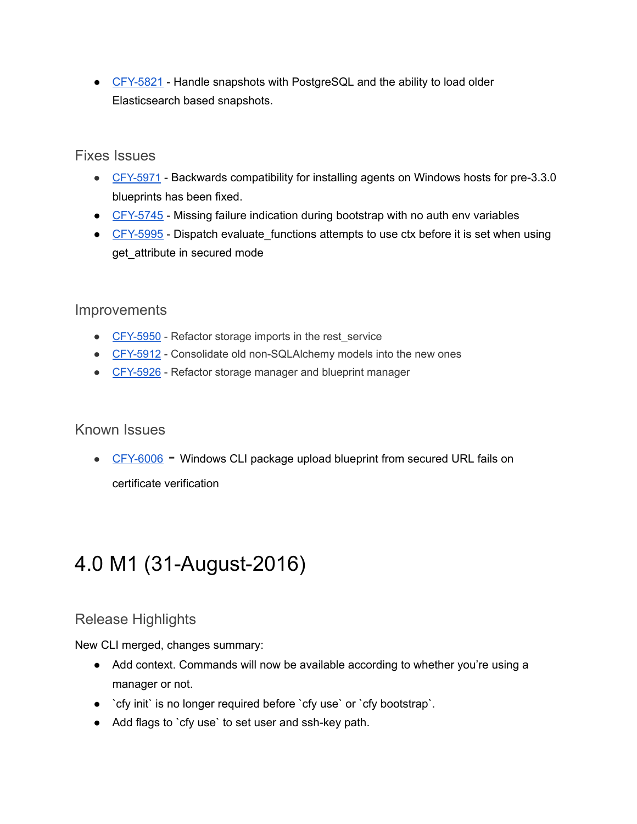● CFY-5821 - Handle snapshots with PostgreSQL and the ability to load older Elasticsearch based snapshots.

## <span id="page-18-0"></span>Fixes Issues

- CFY-5971 Backwards compatibility for installing agents on Windows hosts for pre-3.3.0 blueprints has been fixed.
- CFY-5745 Missing failure indication during bootstrap with no auth env variables
- CFY-5995 Dispatch evaluate functions attempts to use ctx before it is set when using get attribute in secured mode

## <span id="page-18-1"></span>**Improvements**

- CFY-5950 Refactor storage imports in the rest service
- CFY-5912 Consolidate old non-SQLAlchemy models into the new ones
- CFY-5926 Refactor storage manager and blueprint manager

## <span id="page-18-2"></span>Known Issues

• CFY-6006 - Windows CLI package upload blueprint from secured URL fails on

certificate verification

# <span id="page-18-3"></span>4.0 M1 (31-August-2016)

## <span id="page-18-4"></span>Release Highlights

New CLI merged, changes summary:

- Add context. Commands will now be available according to whether you're using a manager or not.
- `cfy init` is no longer required before `cfy use` or `cfy bootstrap`.
- Add flags to `cfy use` to set user and ssh-key path.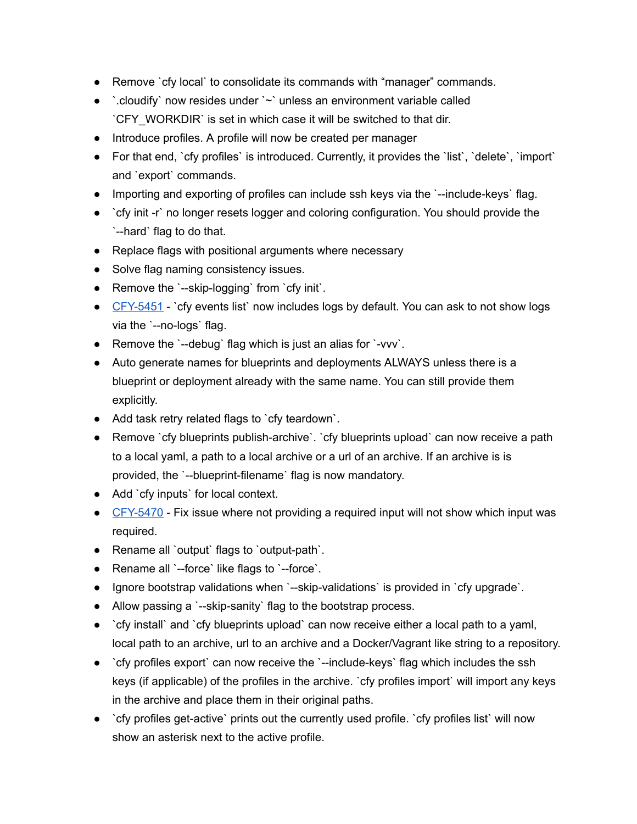- Remove `cfy local` to consolidate its commands with "manager" commands.
- $\bullet$   $\therefore$  cloudify now resides under  $\sim$  unless an environment variable called `CFY\_WORKDIR` is set in which case it will be switched to that dir.
- Introduce profiles. A profile will now be created per manager
- For that end, `cfy profiles` is introduced. Currently, it provides the `list`, `delete`, `import` and `export` commands.
- Importing and exporting of profiles can include ssh keys via the `--include-keys` flag.
- `cfy init -r` no longer resets logger and coloring configuration. You should provide the `--hard` flag to do that.
- Replace flags with positional arguments where necessary
- Solve flag naming consistency issues.
- Remove the `--skip-logging` from `cfy init`.
- CFY-5451 `cfy events list` now includes logs by default. You can ask to not show logs via the `--no-logs` flag.
- $\bullet$  Remove the `--debug` flag which is just an alias for `-vvv`.
- Auto generate names for blueprints and deployments ALWAYS unless there is a blueprint or deployment already with the same name. You can still provide them explicitly.
- Add task retry related flags to `cfy teardown`.
- Remove `cfy blueprints publish-archive`. `cfy blueprints upload` can now receive a path to a local yaml, a path to a local archive or a url of an archive. If an archive is is provided, the `--blueprint-filename` flag is now mandatory.
- Add `cfy inputs` for local context.
- CFY-5470 Fix issue where not providing a required input will not show which input was required.
- $\bullet$  Rename all `output` flags to `output-path`.
- Rename all `--force` like flags to `--force`.
- Ignore bootstrap validations when `--skip-validations` is provided in `cfy upgrade`.
- Allow passing a `--skip-sanity` flag to the bootstrap process.
- `cfy install` and `cfy blueprints upload` can now receive either a local path to a yaml, local path to an archive, url to an archive and a Docker/Vagrant like string to a repository.
- `cfy profiles export` can now receive the `--include-keys` flag which includes the ssh keys (if applicable) of the profiles in the archive. `cfy profiles import` will import any keys in the archive and place them in their original paths.
- `cfy profiles get-active` prints out the currently used profile. `cfy profiles list` will now show an asterisk next to the active profile.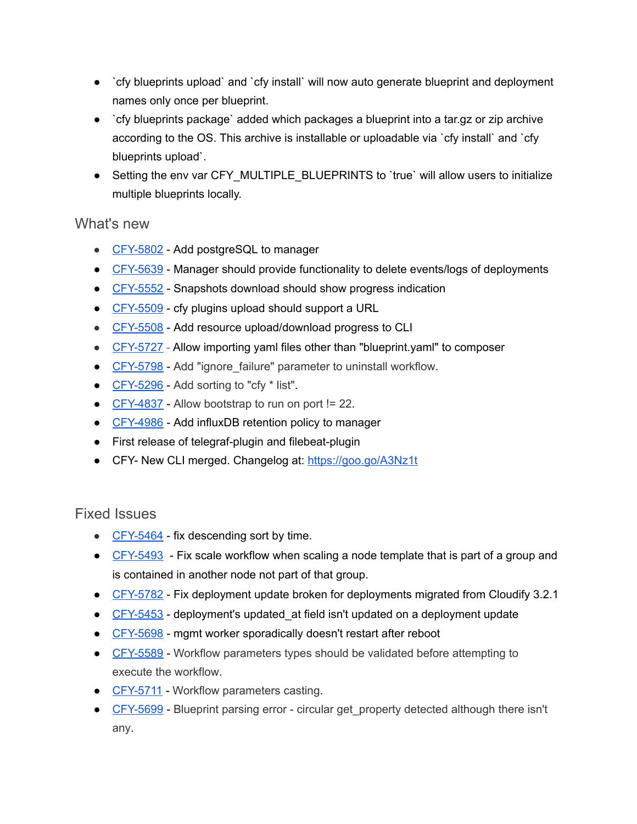- `cfy blueprints upload` and `cfy install` will now auto generate blueprint and deployment names only once per blueprint.
- `cfy blueprints package` added which packages a blueprint into a tar.gz or zip archive according to the OS. This archive is installable or uploadable via `cfy install` and `cfy blueprints upload`.
- Setting the env var CFY\_MULTIPLE\_BLUEPRINTS to `true` will allow users to initialize multiple blueprints locally.

### <span id="page-20-0"></span>What's new

- CFY-5802 Add postgreSQL to manager
- CFY-5639 Manager should provide functionality to delete events/logs of deployments
- CFY-5552 Snapshots download should show progress indication
- CFY-5509 cfy plugins upload should support a URL
- CFY-5508 Add resource upload/download progress to CLI
- CFY-5727 Allow importing yaml files other than ["blueprint.yaml"](https://cloudifysource.atlassian.net/browse/CFY-5727) to composer
- CFY-5798 Add "ignore failure" parameter to uninstall workflow.
- CFY-5296 Add sorting to "cfy \* list".
- $\bullet$  CFY-4837 Allow bootstrap to run on port != 22.
- CFY-4986 Add influxDB [r](https://cloudifysource.atlassian.net/browse/CFY-5727)etention policy to manager
- $\bullet$  First release of telegraf-plugin and filebeat-plugin
- CFY- New CLI merged. Changelog at: <https://goo.go/A3Nz1t>

## <span id="page-20-1"></span>Fixed Issues

- CFY-5464 fix descending sort by time.
- $\bullet$  CFY-5493 Fix scale workflow when scaling a node template that is part of a group and is contained in another node not part of that group.
- CFY-5782 Fix deployment update broken for deployments migrated from Cloudify 3.2.1
- $\bullet$  CFY-5453 deployment's updated at field isn't updated on a deployment update
- CFY-5698 mgmt worker sporadically doesn't restart after reboot
- CFY-5589 Workflow parameters types should be validated before attempting to execute the workflow.
- CFY-5711 Workflow parameters casting.
- CFY-5699 Blueprint parsing error circular get property detected although there isn't any.